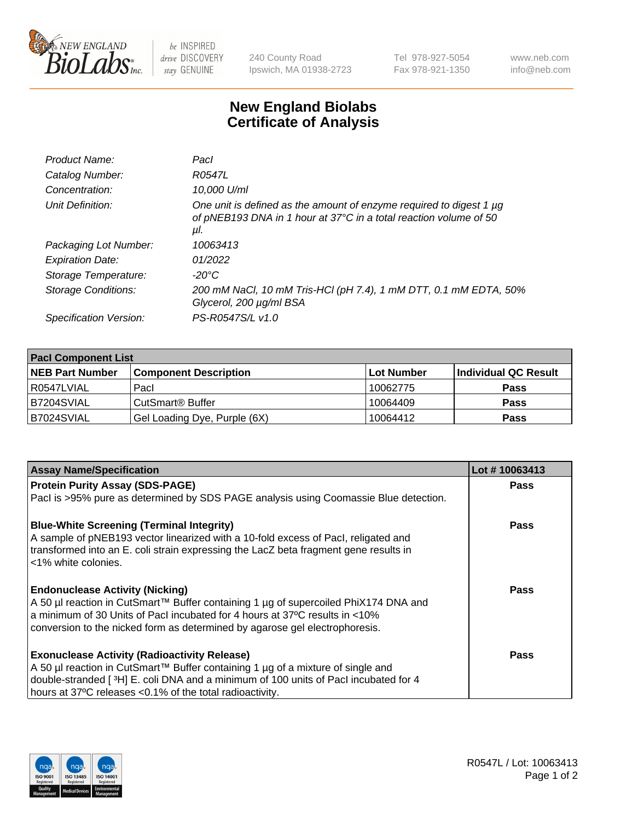

 $be$  INSPIRED drive DISCOVERY stay GENUINE

240 County Road Ipswich, MA 01938-2723 Tel 978-927-5054 Fax 978-921-1350 www.neb.com info@neb.com

## **New England Biolabs Certificate of Analysis**

| Pacl                                                                                                                                            |
|-------------------------------------------------------------------------------------------------------------------------------------------------|
| R0547L                                                                                                                                          |
| 10,000 U/ml                                                                                                                                     |
| One unit is defined as the amount of enzyme required to digest 1 µg<br>of pNEB193 DNA in 1 hour at 37°C in a total reaction volume of 50<br>μI. |
| 10063413                                                                                                                                        |
| 01/2022                                                                                                                                         |
| $-20^{\circ}$ C                                                                                                                                 |
| 200 mM NaCl, 10 mM Tris-HCl (pH 7.4), 1 mM DTT, 0.1 mM EDTA, 50%<br>Glycerol, 200 µg/ml BSA                                                     |
| PS-R0547S/L v1.0                                                                                                                                |
|                                                                                                                                                 |

| <b>Pacl Component List</b> |                              |                   |                      |  |  |
|----------------------------|------------------------------|-------------------|----------------------|--|--|
| <b>NEB Part Number</b>     | <b>Component Description</b> | <b>Lot Number</b> | Individual QC Result |  |  |
| R0547LVIAL                 | Pacl                         | 10062775          | <b>Pass</b>          |  |  |
| B7204SVIAL                 | l CutSmart® Buffer           | 10064409          | <b>Pass</b>          |  |  |
| B7024SVIAL                 | Gel Loading Dye, Purple (6X) | 10064412          | <b>Pass</b>          |  |  |

| <b>Assay Name/Specification</b>                                                                                                                                                                   | Lot #10063413 |
|---------------------------------------------------------------------------------------------------------------------------------------------------------------------------------------------------|---------------|
| <b>Protein Purity Assay (SDS-PAGE)</b>                                                                                                                                                            | <b>Pass</b>   |
| PacI is >95% pure as determined by SDS PAGE analysis using Coomassie Blue detection.                                                                                                              |               |
| <b>Blue-White Screening (Terminal Integrity)</b>                                                                                                                                                  | <b>Pass</b>   |
| A sample of pNEB193 vector linearized with a 10-fold excess of Pacl, religated and<br>transformed into an E. coli strain expressing the LacZ beta fragment gene results in<br><1% white colonies. |               |
| <b>Endonuclease Activity (Nicking)</b>                                                                                                                                                            | <b>Pass</b>   |
| A 50 µl reaction in CutSmart™ Buffer containing 1 µg of supercoiled PhiX174 DNA and                                                                                                               |               |
| a minimum of 30 Units of Pacl incubated for 4 hours at 37°C results in <10%                                                                                                                       |               |
| conversion to the nicked form as determined by agarose gel electrophoresis.                                                                                                                       |               |
| <b>Exonuclease Activity (Radioactivity Release)</b>                                                                                                                                               | Pass          |
| A 50 µl reaction in CutSmart™ Buffer containing 1 µg of a mixture of single and                                                                                                                   |               |
| double-stranded [3H] E. coli DNA and a minimum of 100 units of Pacl incubated for 4                                                                                                               |               |
| hours at 37°C releases <0.1% of the total radioactivity.                                                                                                                                          |               |